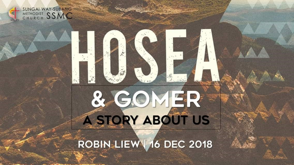

**SUNGAI WAY-SUBANG METHODIST SSMC** 

# & GOMER

 $\frac{1}{2}$ 

#### ROBIN LIEW 16 DEC 2018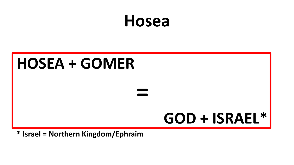## **Hosea**

## **HOSEA + GOMER = GOD + ISRAEL\***

**\* Israel = Northern Kingdom/Ephraim**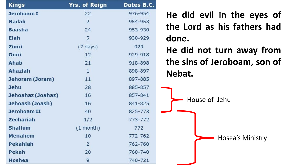| <b>Kings</b>      | Yrs. of Reign      | Dates B.C. |
|-------------------|--------------------|------------|
| Jeroboam I        | 22                 | 976-954    |
| <b>Nadab</b>      | $\overline{2}$     | 954-953    |
| <b>Baasha</b>     | 24                 | 953-930    |
| <b>Elah</b>       | $\overline{2}$     | 930-929    |
| <b>Zimri</b>      | $(7 \text{ days})$ | 929        |
| Omri              | 12                 | 929-918    |
| Ahab              | 21                 | 918-898    |
| <b>Ahaziah</b>    | $\mathbf{1}$       | 898-897    |
| Jehoram (Joram)   | 11                 | 897-885    |
| <b>Jehu</b>       | 28                 | 885-857    |
| Jehoahaz (Joahaz) | 16                 | 857-841    |
| Jehoash (Joash)   | 16                 | 841-825    |
| Jeroboam II       | 40                 | 825-773    |
| <b>Zechariah</b>  | 1/2                | 773-772    |
| <b>Shallum</b>    | $(1$ month)        | 772        |
| <b>Menahem</b>    | 10                 | 772-762    |
| <b>Pekahiah</b>   | $\overline{2}$     | 762-760    |
| Pekah             | 20                 | 760-740    |
| <b>Hoshea</b>     | 9                  | 740-731    |

**He did evil in the eyes of the Lord as his fathers had done.**

**He did not turn away from the sins of Jeroboam, son of Nebat.**

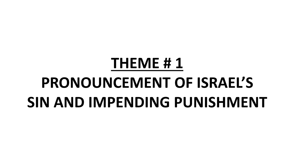## **THEME # 1**

## **PRONOUNCEMENT OF ISRAEL'S SIN AND IMPENDING PUNISHMENT**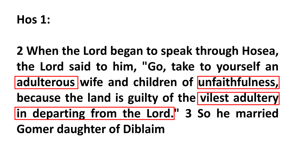**2 When the Lord began to speak through Hosea, the Lord said to him, "Go, take to yourself an adulterous wife and children of unfaithfulness, because the land is guilty of the vilest adultery in departing from the Lord. " 3 So he married Gomer daughter of Diblaim**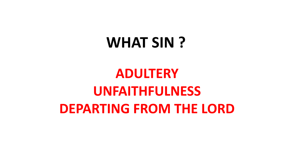## **WHAT SIN ?**

## **ADULTERY UNFAITHFULNESS DEPARTING FROM THE LORD**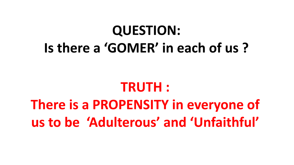## **QUESTION: Is there a 'GOMER' in each of us ?**

#### **TRUTH :**

## **There is a PROPENSITY in everyone of us to be 'Adulterous' and 'Unfaithful'**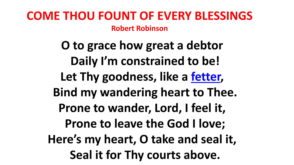#### **COME THOU FOUNT OF EVERY BLESSINGS Robert Robinson**

**O to grace how great a debtor Daily I'm constrained to be! Let Thy goodness, like a [fetter,](https://en.wikipedia.org/wiki/Fetter) Bind my wandering heart to Thee. Prone to wander, Lord, I feel it, Prone to leave the God I love; Here's my heart, O take and seal it, Seal it for Thy courts above.**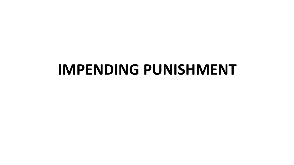#### **IMPENDING PUNISHMENT**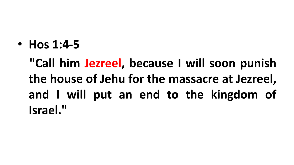• **Hos 1:4-5**

**"Call him Jezreel, because I will soon punish the house of Jehu for the massacre at Jezreel, and I will put an end to the kingdom of Israel. "**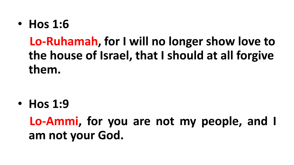• **Hos 1:6**

#### **Lo-Ruhamah, for I will no longer show love to the house of Israel, that I should at all forgive them.**

• **Hos 1:9**

**Lo-Ammi, for you are not my people, and I am not your God.**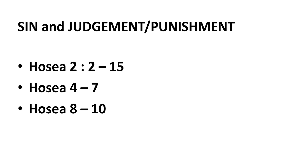#### **SIN and JUDGEMENT/PUNISHMENT**

- **Hosea 2 : 2 – 15**
- **Hosea 4 – 7**
- **Hosea 8 – 10**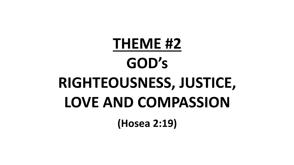## **THEME #2 GOD's RIGHTEOUSNESS, JUSTICE, LOVE AND COMPASSION (Hosea 2:19)**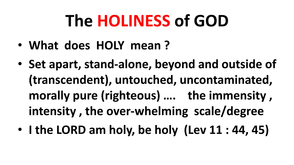## **The HOLINESS of GOD**

- **What does HOLY mean ?**
- **Set apart, stand-alone, beyond and outside of (transcendent), untouched, uncontaminated, morally pure (righteous) …. the immensity , intensity , the over-whelming scale/degree**
- **I the LORD am holy, be holy (Lev 11 : 44, 45)**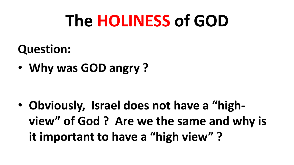## **The HOLINESS of GOD**

#### **Question:**

• **Why was GOD angry ?** 

• **Obviously, Israel does not have a "highview" of God ? Are we the same and why is it important to have a "high view" ?**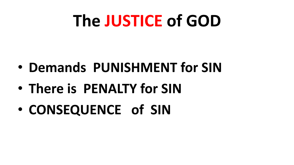## **The JUSTICE of GOD**

- **Demands PUNISHMENT for SIN**
- **There is PENALTY for SIN**
- **CONSEQUENCE of SIN**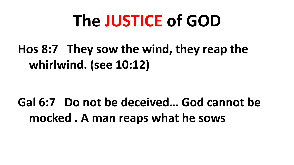## **The JUSTICE of GOD**

#### **Hos 8:7 They sow the wind, they reap the whirlwind. (see 10:12)**

#### **Gal 6:7 Do not be deceived… God cannot be mocked . A man reaps what he sows**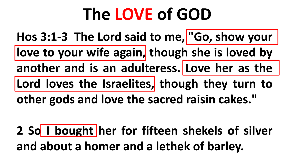## **The LOVE of GOD**

**Hos 3:1-3 The Lord said to me, "Go, show your love to your wife again, though she is loved by another and is an adulteress. Love her as the Lord loves the Israelites, though they turn to other gods and love the sacred raisin cakes. "**

**2 So I bought her for fifteen shekels of silver and about a homer and a lethek of barley.**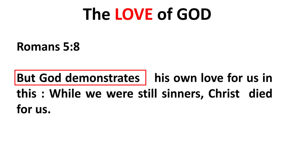## **The LOVE of GOD**

**Romans 5:8**

#### **But God demonstrates his own love for us in this : While we were still sinners, Christ died for us.**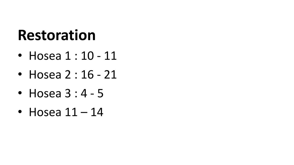## **Restoration**

- Hosea 1 : 10 11
- Hosea 2 : 16 21
- Hosea  $3:4-5$
- Hosea  $11 14$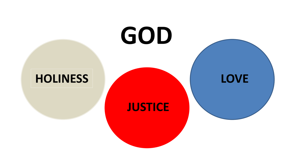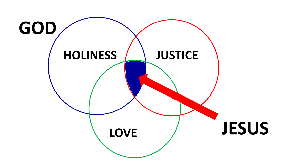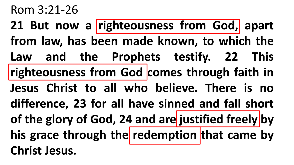#### Rom 3:21-26

**21 But now a righteousness from God, apart from law, has been made known, to which the Law and the Prophets testify. 22 This righteousness from God comes through faith in Jesus Christ to all who believe. There is no difference, 23 for all have sinned and fall short of the glory of God, 24 and are justified freely by his grace through the redemption that came by Christ Jesus.**